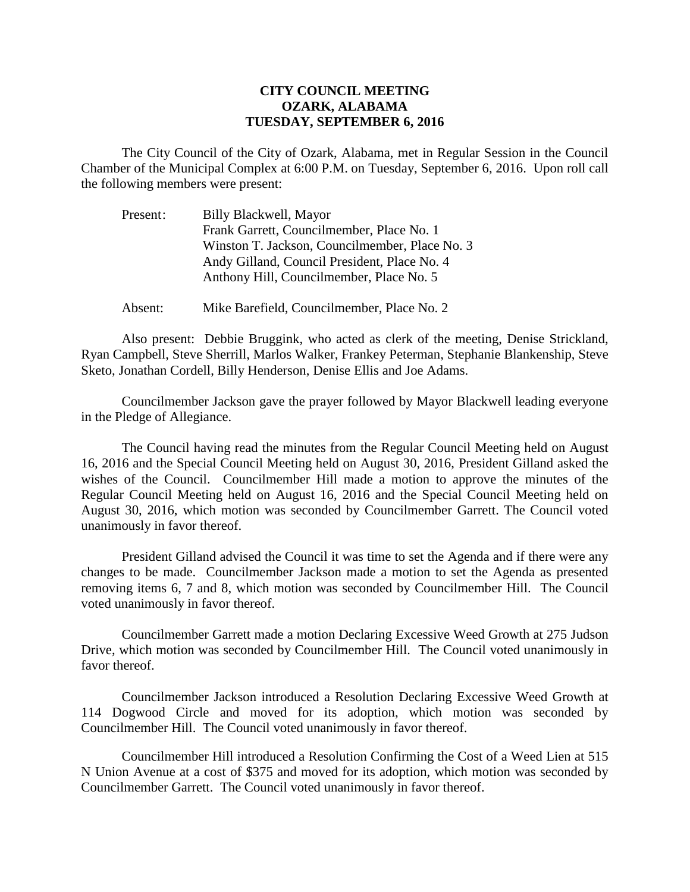## **CITY COUNCIL MEETING OZARK, ALABAMA TUESDAY, SEPTEMBER 6, 2016**

The City Council of the City of Ozark, Alabama, met in Regular Session in the Council Chamber of the Municipal Complex at 6:00 P.M. on Tuesday, September 6, 2016. Upon roll call the following members were present:

| Present: | Billy Blackwell, Mayor                         |
|----------|------------------------------------------------|
|          | Frank Garrett, Councilmember, Place No. 1      |
|          | Winston T. Jackson, Councilmember, Place No. 3 |
|          | Andy Gilland, Council President, Place No. 4   |
|          | Anthony Hill, Councilmember, Place No. 5       |
|          |                                                |

Absent: Mike Barefield, Councilmember, Place No. 2

Also present: Debbie Bruggink, who acted as clerk of the meeting, Denise Strickland, Ryan Campbell, Steve Sherrill, Marlos Walker, Frankey Peterman, Stephanie Blankenship, Steve Sketo, Jonathan Cordell, Billy Henderson, Denise Ellis and Joe Adams.

Councilmember Jackson gave the prayer followed by Mayor Blackwell leading everyone in the Pledge of Allegiance.

The Council having read the minutes from the Regular Council Meeting held on August 16, 2016 and the Special Council Meeting held on August 30, 2016, President Gilland asked the wishes of the Council. Councilmember Hill made a motion to approve the minutes of the Regular Council Meeting held on August 16, 2016 and the Special Council Meeting held on August 30, 2016, which motion was seconded by Councilmember Garrett. The Council voted unanimously in favor thereof.

President Gilland advised the Council it was time to set the Agenda and if there were any changes to be made. Councilmember Jackson made a motion to set the Agenda as presented removing items 6, 7 and 8, which motion was seconded by Councilmember Hill. The Council voted unanimously in favor thereof.

Councilmember Garrett made a motion Declaring Excessive Weed Growth at 275 Judson Drive, which motion was seconded by Councilmember Hill. The Council voted unanimously in favor thereof.

 Councilmember Jackson introduced a Resolution Declaring Excessive Weed Growth at 114 Dogwood Circle and moved for its adoption, which motion was seconded by Councilmember Hill. The Council voted unanimously in favor thereof.

Councilmember Hill introduced a Resolution Confirming the Cost of a Weed Lien at 515 N Union Avenue at a cost of \$375 and moved for its adoption, which motion was seconded by Councilmember Garrett. The Council voted unanimously in favor thereof.